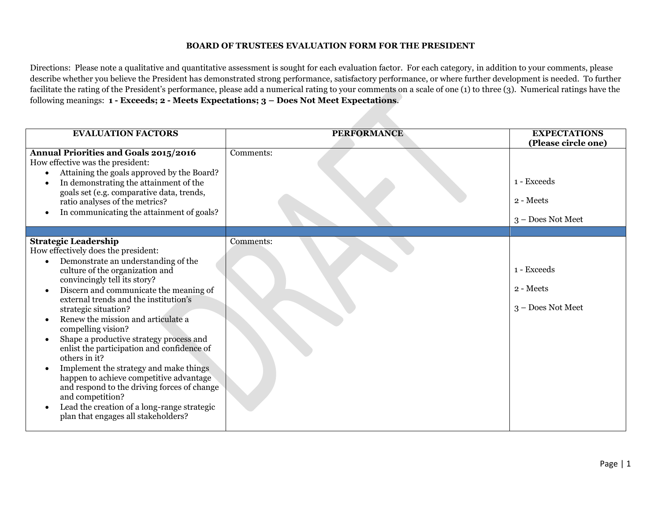# **BOARD OF TRUSTEES EVALUATION FORM FOR THE PRESIDENT**

Directions: Please note a qualitative and quantitative assessment is sought for each evaluation factor. For each category, in addition to your comments, please describe whether you believe the President has demonstrated strong performance, satisfactory performance, or where further development is needed. To further facilitate the rating of the President's performance, please add a numerical rating to your comments on a scale of one (1) to three (3). Numerical ratings have the following meanings: **1 - Exceeds; 2 - Meets Expectations; 3 – Does Not Meet Expectations**.

| <b>EVALUATION FACTORS</b>                                                                                                                                                                                                                                                                                                                                                                                                                                                                                                                                                                         | <b>PERFORMANCE</b> | <b>EXPECTATIONS</b><br>(Please circle one)    |
|---------------------------------------------------------------------------------------------------------------------------------------------------------------------------------------------------------------------------------------------------------------------------------------------------------------------------------------------------------------------------------------------------------------------------------------------------------------------------------------------------------------------------------------------------------------------------------------------------|--------------------|-----------------------------------------------|
| <b>Annual Priorities and Goals 2015/2016</b><br>How effective was the president:<br>Attaining the goals approved by the Board?<br>In demonstrating the attainment of the<br>goals set (e.g. comparative data, trends,<br>ratio analyses of the metrics?<br>In communicating the attainment of goals?                                                                                                                                                                                                                                                                                              | Comments:          | 1 - Exceeds<br>2 - Meets<br>3 - Does Not Meet |
| <b>Strategic Leadership</b><br>How effectively does the president:<br>Demonstrate an understanding of the<br>culture of the organization and<br>convincingly tell its story?<br>Discern and communicate the meaning of<br>external trends and the institution's<br>strategic situation?<br>Renew the mission and articulate a<br>compelling vision?<br>Shape a productive strategy process and<br>enlist the participation and confidence of<br>others in it?<br>Implement the strategy and make things<br>happen to achieve competitive advantage<br>and respond to the driving forces of change | Comments:          | 1 - Exceeds<br>2 - Meets<br>3 - Does Not Meet |
| and competition?<br>Lead the creation of a long-range strategic<br>$\bullet$<br>plan that engages all stakeholders?                                                                                                                                                                                                                                                                                                                                                                                                                                                                               |                    |                                               |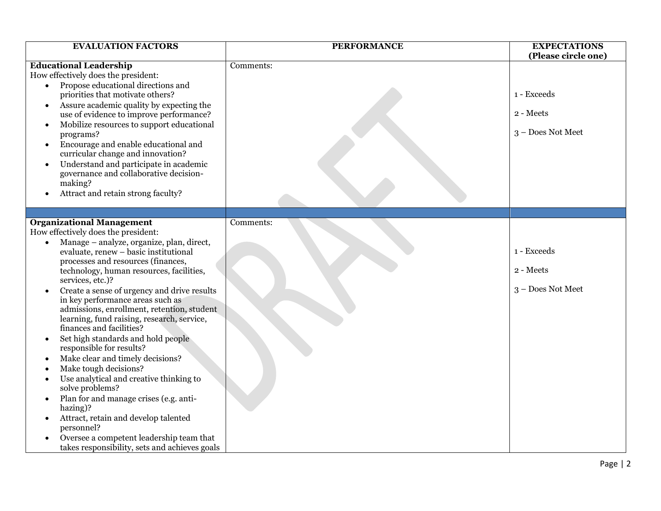| <b>EVALUATION FACTORS</b>                                                                                                                                                                                                                                                                                                                                                                                                                                                                                                                                                                                                                                                                                                                                                                                                                                                                                                                                                       | <b>PERFORMANCE</b> | <b>EXPECTATIONS</b><br>(Please circle one)    |
|---------------------------------------------------------------------------------------------------------------------------------------------------------------------------------------------------------------------------------------------------------------------------------------------------------------------------------------------------------------------------------------------------------------------------------------------------------------------------------------------------------------------------------------------------------------------------------------------------------------------------------------------------------------------------------------------------------------------------------------------------------------------------------------------------------------------------------------------------------------------------------------------------------------------------------------------------------------------------------|--------------------|-----------------------------------------------|
| <b>Educational Leadership</b><br>How effectively does the president:<br>Propose educational directions and<br>$\bullet$<br>priorities that motivate others?<br>Assure academic quality by expecting the<br>$\bullet$<br>use of evidence to improve performance?<br>Mobilize resources to support educational<br>$\bullet$<br>programs?<br>Encourage and enable educational and<br>$\bullet$<br>curricular change and innovation?<br>Understand and participate in academic<br>$\bullet$<br>governance and collaborative decision-<br>making?<br>Attract and retain strong faculty?                                                                                                                                                                                                                                                                                                                                                                                              | Comments:          | 1 - Exceeds<br>2 - Meets<br>3 - Does Not Meet |
| <b>Organizational Management</b><br>How effectively does the president:<br>Manage - analyze, organize, plan, direct,<br>$\bullet$<br>evaluate, renew - basic institutional<br>processes and resources (finances,<br>technology, human resources, facilities,<br>services, etc.)?<br>Create a sense of urgency and drive results<br>$\bullet$<br>in key performance areas such as<br>admissions, enrollment, retention, student<br>learning, fund raising, research, service,<br>finances and facilities?<br>Set high standards and hold people<br>$\bullet$<br>responsible for results?<br>Make clear and timely decisions?<br>Make tough decisions?<br>Use analytical and creative thinking to<br>$\bullet$<br>solve problems?<br>Plan for and manage crises (e.g. anti-<br>$\bullet$<br>hazing)?<br>Attract, retain and develop talented<br>$\bullet$<br>personnel?<br>Oversee a competent leadership team that<br>$\bullet$<br>takes responsibility, sets and achieves goals | Comments:          | 1 - Exceeds<br>2 - Meets<br>3 - Does Not Meet |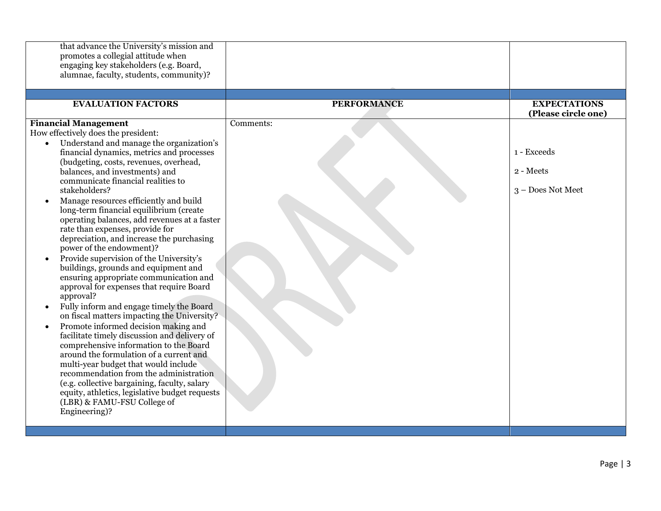| that advance the University's mission and<br>promotes a collegial attitude when<br>engaging key stakeholders (e.g. Board,<br>alumnae, faculty, students, community)?                                                                                                                                                                                                                                                                                                                                                                                                                                                                                                                                                                                                                                                                                                                                                                                                                                                                                                                         |                    |                                                                      |
|----------------------------------------------------------------------------------------------------------------------------------------------------------------------------------------------------------------------------------------------------------------------------------------------------------------------------------------------------------------------------------------------------------------------------------------------------------------------------------------------------------------------------------------------------------------------------------------------------------------------------------------------------------------------------------------------------------------------------------------------------------------------------------------------------------------------------------------------------------------------------------------------------------------------------------------------------------------------------------------------------------------------------------------------------------------------------------------------|--------------------|----------------------------------------------------------------------|
| <b>EVALUATION FACTORS</b>                                                                                                                                                                                                                                                                                                                                                                                                                                                                                                                                                                                                                                                                                                                                                                                                                                                                                                                                                                                                                                                                    | <b>PERFORMANCE</b> | <b>EXPECTATIONS</b>                                                  |
| <b>Financial Management</b><br>How effectively does the president:<br>Understand and manage the organization's<br>$\bullet$<br>financial dynamics, metrics and processes<br>(budgeting, costs, revenues, overhead,<br>balances, and investments) and<br>communicate financial realities to<br>stakeholders?<br>Manage resources efficiently and build<br>long-term financial equilibrium (create<br>operating balances, add revenues at a faster<br>rate than expenses, provide for<br>depreciation, and increase the purchasing<br>power of the endowment)?<br>Provide supervision of the University's<br>$\bullet$<br>buildings, grounds and equipment and<br>ensuring appropriate communication and<br>approval for expenses that require Board<br>approval?<br>Fully inform and engage timely the Board<br>on fiscal matters impacting the University?<br>Promote informed decision making and<br>$\bullet$<br>facilitate timely discussion and delivery of<br>comprehensive information to the Board<br>around the formulation of a current and<br>multi-year budget that would include | Comments:          | (Please circle one)<br>1 - Exceeds<br>2 - Meets<br>3 - Does Not Meet |
| recommendation from the administration<br>(e.g. collective bargaining, faculty, salary<br>equity, athletics, legislative budget requests<br>(LBR) & FAMU-FSU College of<br>Engineering)?                                                                                                                                                                                                                                                                                                                                                                                                                                                                                                                                                                                                                                                                                                                                                                                                                                                                                                     |                    |                                                                      |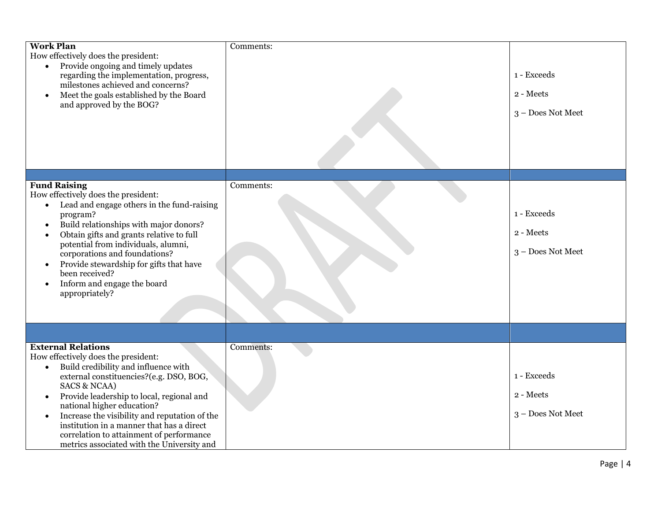| <b>Work Plan</b><br>How effectively does the president:<br>Provide ongoing and timely updates<br>$\bullet$<br>regarding the implementation, progress,<br>milestones achieved and concerns?<br>Meet the goals established by the Board<br>$\bullet$<br>and approved by the BOG?                                                                                                                                                                                                           | Comments: | 1 - Exceeds<br>2 - Meets<br>3 - Does Not Meet |
|------------------------------------------------------------------------------------------------------------------------------------------------------------------------------------------------------------------------------------------------------------------------------------------------------------------------------------------------------------------------------------------------------------------------------------------------------------------------------------------|-----------|-----------------------------------------------|
|                                                                                                                                                                                                                                                                                                                                                                                                                                                                                          |           |                                               |
| <b>Fund Raising</b><br>How effectively does the president:<br>Lead and engage others in the fund-raising<br>$\bullet$<br>program?<br>Build relationships with major donors?<br>$\bullet$<br>Obtain gifts and grants relative to full<br>$\bullet$<br>potential from individuals, alumni,<br>corporations and foundations?<br>Provide stewardship for gifts that have<br>$\bullet$<br>been received?<br>Inform and engage the board<br>$\bullet$<br>appropriately?                        | Comments: | 1 - Exceeds<br>2 - Meets<br>3 - Does Not Meet |
|                                                                                                                                                                                                                                                                                                                                                                                                                                                                                          |           |                                               |
| <b>External Relations</b><br>How effectively does the president:<br>Build credibility and influence with<br>$\bullet$<br>external constituencies?(e.g. DSO, BOG,<br><b>SACS &amp; NCAA)</b><br>Provide leadership to local, regional and<br>$\bullet$<br>national higher education?<br>Increase the visibility and reputation of the<br>$\bullet$<br>institution in a manner that has a direct<br>correlation to attainment of performance<br>metrics associated with the University and | Comments: | 1 - Exceeds<br>2 - Meets<br>3 - Does Not Meet |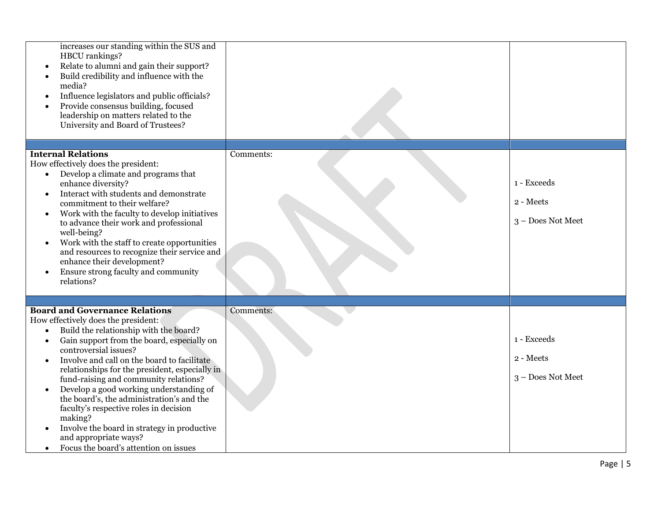| increases our standing within the SUS and<br>HBCU rankings?<br>Relate to alumni and gain their support?<br>Build credibility and influence with the<br>media?<br>Influence legislators and public officials?<br>$\bullet$<br>Provide consensus building, focused<br>leadership on matters related to the<br>University and Board of Trustees?                                                                                                                                                                                                                                                                                                                          |           |                                               |
|------------------------------------------------------------------------------------------------------------------------------------------------------------------------------------------------------------------------------------------------------------------------------------------------------------------------------------------------------------------------------------------------------------------------------------------------------------------------------------------------------------------------------------------------------------------------------------------------------------------------------------------------------------------------|-----------|-----------------------------------------------|
|                                                                                                                                                                                                                                                                                                                                                                                                                                                                                                                                                                                                                                                                        |           |                                               |
| <b>Internal Relations</b><br>How effectively does the president:<br>Develop a climate and programs that<br>$\bullet$<br>enhance diversity?<br>Interact with students and demonstrate<br>commitment to their welfare?<br>Work with the faculty to develop initiatives<br>$\bullet$<br>to advance their work and professional<br>well-being?<br>Work with the staff to create opportunities<br>and resources to recognize their service and<br>enhance their development?<br>Ensure strong faculty and community<br>relations?                                                                                                                                           | Comments: | 1 - Exceeds<br>2 - Meets<br>3 - Does Not Meet |
|                                                                                                                                                                                                                                                                                                                                                                                                                                                                                                                                                                                                                                                                        |           |                                               |
| <b>Board and Governance Relations</b><br>How effectively does the president:<br>Build the relationship with the board?<br>$\bullet$<br>Gain support from the board, especially on<br>$\bullet$<br>controversial issues?<br>Involve and call on the board to facilitate<br>relationships for the president, especially in<br>fund-raising and community relations?<br>Develop a good working understanding of<br>$\bullet$<br>the board's, the administration's and the<br>faculty's respective roles in decision<br>making?<br>Involve the board in strategy in productive<br>$\bullet$<br>and appropriate ways?<br>Focus the board's attention on issues<br>$\bullet$ | Comments: | 1 - Exceeds<br>2 - Meets<br>3 - Does Not Meet |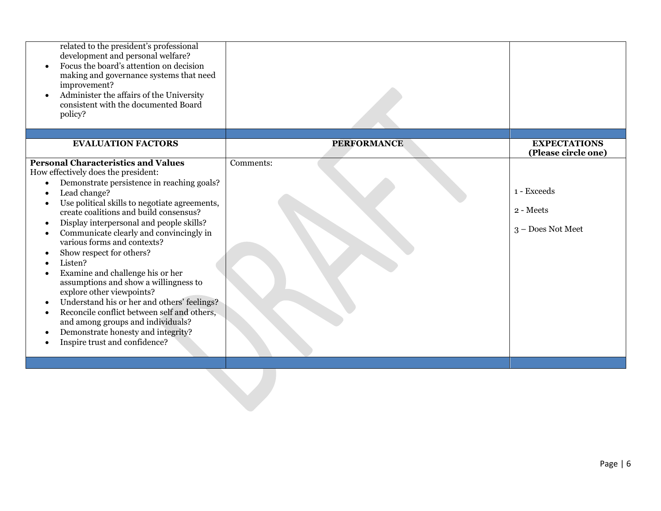| related to the president's professional<br>development and personal welfare?<br>Focus the board's attention on decision<br>making and governance systems that need<br>improvement?<br>Administer the affairs of the University<br>consistent with the documented Board<br>policy?                                                                                                                                                                                                                                                                                                                                                                                                                                           |                    |                                               |
|-----------------------------------------------------------------------------------------------------------------------------------------------------------------------------------------------------------------------------------------------------------------------------------------------------------------------------------------------------------------------------------------------------------------------------------------------------------------------------------------------------------------------------------------------------------------------------------------------------------------------------------------------------------------------------------------------------------------------------|--------------------|-----------------------------------------------|
| <b>EVALUATION FACTORS</b>                                                                                                                                                                                                                                                                                                                                                                                                                                                                                                                                                                                                                                                                                                   | <b>PERFORMANCE</b> | <b>EXPECTATIONS</b><br>(Please circle one)    |
| <b>Personal Characteristics and Values</b><br>How effectively does the president:<br>Demonstrate persistence in reaching goals?<br>Lead change?<br>Use political skills to negotiate agreements,<br>create coalitions and build consensus?<br>Display interpersonal and people skills?<br>Communicate clearly and convincingly in<br>various forms and contexts?<br>Show respect for others?<br>Listen?<br>Examine and challenge his or her<br>assumptions and show a willingness to<br>explore other viewpoints?<br>Understand his or her and others' feelings?<br>Reconcile conflict between self and others,<br>and among groups and individuals?<br>Demonstrate honesty and integrity?<br>Inspire trust and confidence? | Comments:          | 1 - Exceeds<br>2 - Meets<br>3 - Does Not Meet |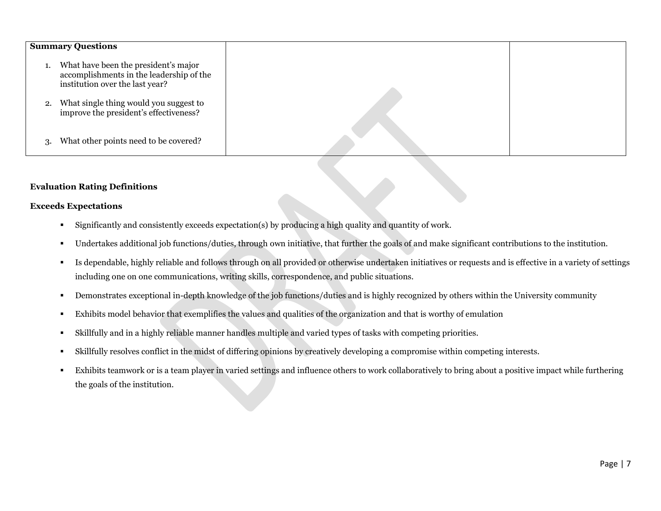|    | <b>Summary Questions</b>                                                                                            |  |
|----|---------------------------------------------------------------------------------------------------------------------|--|
|    | What have been the president's major<br>accomplishments in the leadership of the<br>institution over the last year? |  |
| 2. | What single thing would you suggest to<br>improve the president's effectiveness?                                    |  |
| 3. | What other points need to be covered?                                                                               |  |

## **Evaluation Rating Definitions**

#### **Exceeds Expectations**

- Significantly and consistently exceeds expectation(s) by producing a high quality and quantity of work.
- Undertakes additional job functions/duties, through own initiative, that further the goals of and make significant contributions to the institution.
- Is dependable, highly reliable and follows through on all provided or otherwise undertaken initiatives or requests and is effective in a variety of settings including one on one communications, writing skills, correspondence, and public situations.
- Demonstrates exceptional in-depth knowledge of the job functions/duties and is highly recognized by others within the University community
- Exhibits model behavior that exemplifies the values and qualities of the organization and that is worthy of emulation
- Skillfully and in a highly reliable manner handles multiple and varied types of tasks with competing priorities.
- Skillfully resolves conflict in the midst of differing opinions by creatively developing a compromise within competing interests.
- Exhibits teamwork or is a team player in varied settings and influence others to work collaboratively to bring about a positive impact while furthering the goals of the institution.